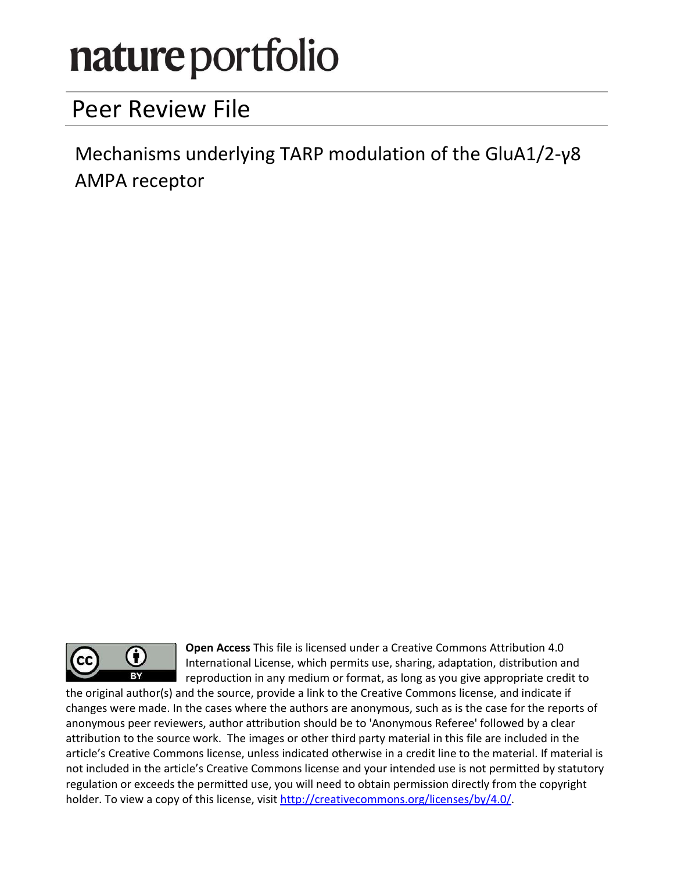# nature portfolio

# Peer Review File

Mechanisms underlying TARP modulation of the GluA $1/2$ -y8 AMPA receptor



Open Access This file is licensed under a Creative Commons Attribution 4.0 International License, which permits use, sharing, adaptation, distribution and reproduction in any medium or format, as long as you give appropriate credit to

the original author(s) and the source, provide a link to the Creative Commons license, and indicate if changes were made. In the cases where the authors are anonymous, such as is the case for the reports of anonymous peer reviewers, author attribution should be to 'Anonymous Referee' followed by a clear attribution to the source work. The images or other third party material in this file are included in the article's Creative Commons license, unless indicated otherwise in a credit line to the material. If material is not included in the article's Creative Commons license and your intended use is not permitted by statutory regulation or exceeds the permitted use, you will need to obtain permission directly from the copyright holder. To view a copy of this license, visit http://creativecommons.org/licenses/by/4.0/.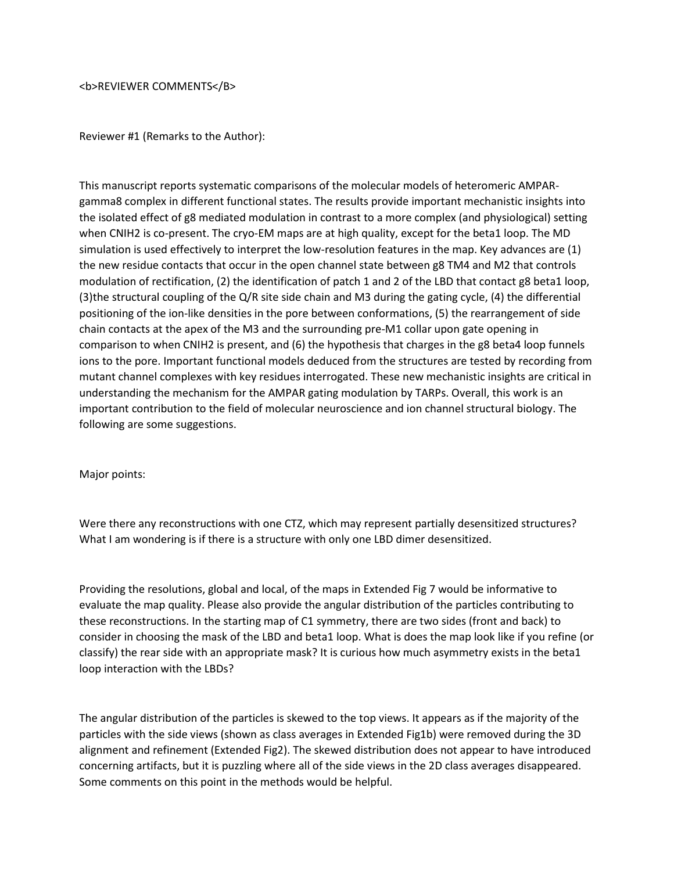<b>REVIEWER COMMENTS</B>

Reviewer #1 (Remarks to the Author):

This manuscript reports systematic comparisons of the molecular models of heteromeric AMPARgamma8 complex in different functional states. The results provide important mechanistic insights into the isolated effect of g8 mediated modulation in contrast to a more complex (and physiological) setting when CNIH2 is co-present. The cryo-EM maps are at high quality, except for the beta1 loop. The MD simulation is used effectively to interpret the low-resolution features in the map. Key advances are (1) the new residue contacts that occur in the open channel state between g8 TM4 and M2 that controls modulation of rectification, (2) the identification of patch 1 and 2 of the LBD that contact g8 beta1 loop, (3)the structural coupling of the Q/R site side chain and M3 during the gating cycle, (4) the differential positioning of the ion-like densities in the pore between conformations, (5) the rearrangement of side chain contacts at the apex of the M3 and the surrounding pre-M1 collar upon gate opening in comparison to when CNIH2 is present, and (6) the hypothesis that charges in the g8 beta4 loop funnels ions to the pore. Important functional models deduced from the structures are tested by recording from mutant channel complexes with key residues interrogated. These new mechanistic insights are critical in understanding the mechanism for the AMPAR gating modulation by TARPs. Overall, this work is an important contribution to the field of molecular neuroscience and ion channel structural biology. The following are some suggestions.

Major points:

Were there any reconstructions with one CTZ, which may represent partially desensitized structures? What I am wondering is if there is a structure with only one LBD dimer desensitized.

Providing the resolutions, global and local, of the maps in Extended Fig 7 would be informative to evaluate the map quality. Please also provide the angular distribution of the particles contributing to these reconstructions. In the starting map of C1 symmetry, there are two sides (front and back) to consider in choosing the mask of the LBD and beta1 loop. What is does the map look like if you refine (or classify) the rear side with an appropriate mask? It is curious how much asymmetry exists in the beta1 loop interaction with the LBDs?

The angular distribution of the particles is skewed to the top views. It appears as if the majority of the particles with the side views (shown as class averages in Extended Fig1b) were removed during the 3D alignment and refinement (Extended Fig2). The skewed distribution does not appear to have introduced concerning artifacts, but it is puzzling where all of the side views in the 2D class averages disappeared. Some comments on this point in the methods would be helpful.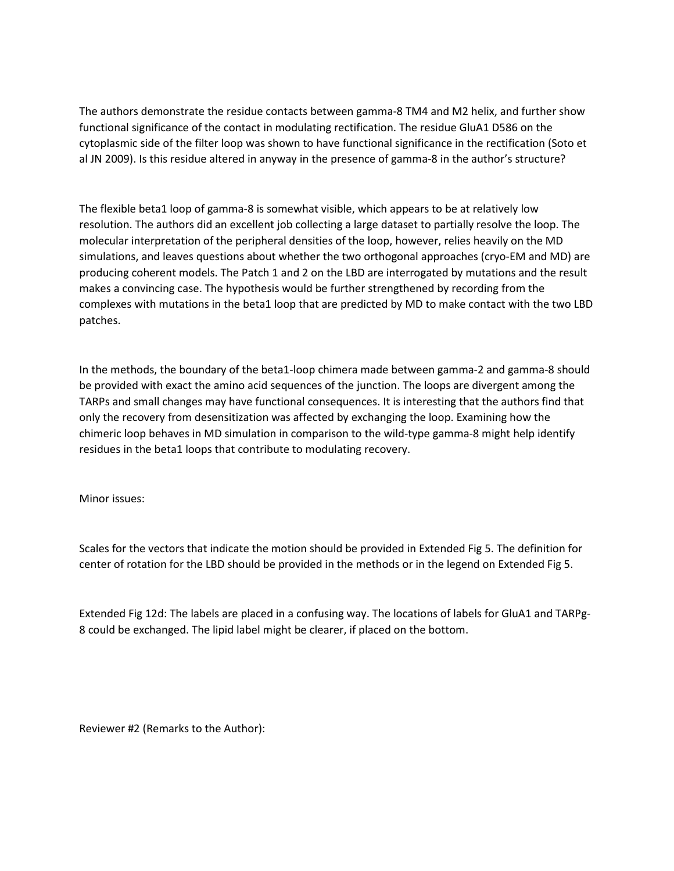The authors demonstrate the residue contacts between gamma-8 TM4 and M2 helix, and further show functional significance of the contact in modulating rectification. The residue GluA1 D586 on the cytoplasmic side of the filter loop was shown to have functional significance in the rectification (Soto et al JN 2009). Is this residue altered in anyway in the presence of gamma-8 in the author's structure?

The flexible beta1 loop of gamma-8 is somewhat visible, which appears to be at relatively low resolution. The authors did an excellent job collecting a large dataset to partially resolve the loop. The molecular interpretation of the peripheral densities of the loop, however, relies heavily on the MD simulations, and leaves questions about whether the two orthogonal approaches (cryo-EM and MD) are producing coherent models. The Patch 1 and 2 on the LBD are interrogated by mutations and the result makes a convincing case. The hypothesis would be further strengthened by recording from the complexes with mutations in the beta1 loop that are predicted by MD to make contact with the two LBD patches.

In the methods, the boundary of the beta1-loop chimera made between gamma-2 and gamma-8 should be provided with exact the amino acid sequences of the junction. The loops are divergent among the TARPs and small changes may have functional consequences. It is interesting that the authors find that only the recovery from desensitization was affected by exchanging the loop. Examining how the chimeric loop behaves in MD simulation in comparison to the wild-type gamma-8 might help identify residues in the beta1 loops that contribute to modulating recovery.

Minor issues:

Scales for the vectors that indicate the motion should be provided in Extended Fig 5. The definition for center of rotation for the LBD should be provided in the methods or in the legend on Extended Fig 5.

Extended Fig 12d: The labels are placed in a confusing way. The locations of labels for GluA1 and TARPg-8 could be exchanged. The lipid label might be clearer, if placed on the bottom.

Reviewer #2 (Remarks to the Author):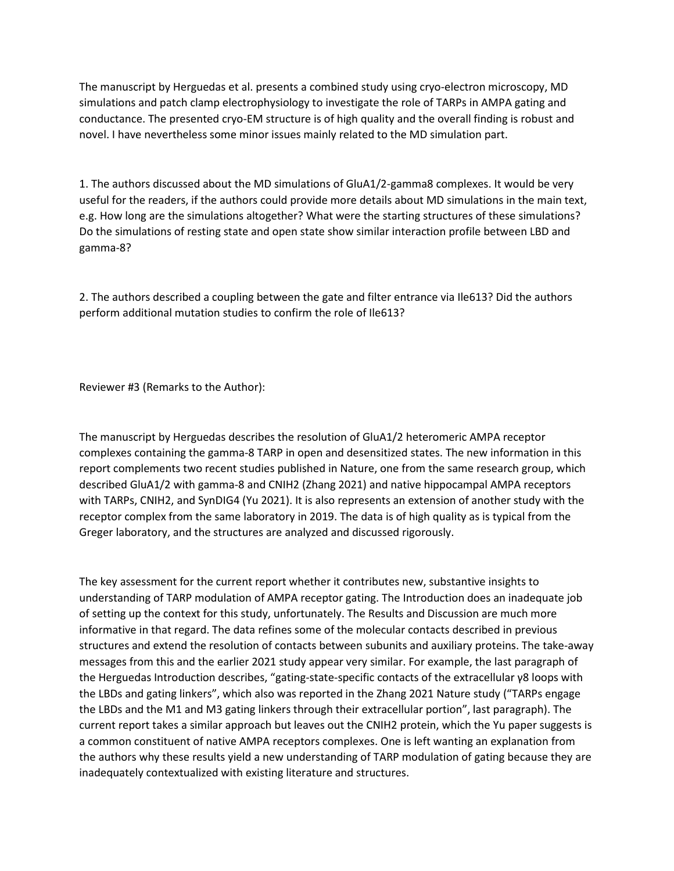The manuscript by Herguedas et al. presents a combined study using cryo-electron microscopy, MD simulations and patch clamp electrophysiology to investigate the role of TARPs in AMPA gating and conductance. The presented cryo-EM structure is of high quality and the overall finding is robust and novel. I have nevertheless some minor issues mainly related to the MD simulation part.

1. The authors discussed about the MD simulations of GluA1/2-gamma8 complexes. It would be very useful for the readers, if the authors could provide more details about MD simulations in the main text, e.g. How long are the simulations altogether? What were the starting structures of these simulations? Do the simulations of resting state and open state show similar interaction profile between LBD and gamma-8?

2. The authors described a coupling between the gate and filter entrance via Ile613? Did the authors perform additional mutation studies to confirm the role of Ile613?

Reviewer #3 (Remarks to the Author):

The manuscript by Herguedas describes the resolution of GluA1/2 heteromeric AMPA receptor complexes containing the gamma-8 TARP in open and desensitized states. The new information in this report complements two recent studies published in Nature, one from the same research group, which described GluA1/2 with gamma-8 and CNIH2 (Zhang 2021) and native hippocampal AMPA receptors with TARPs, CNIH2, and SynDIG4 (Yu 2021). It is also represents an extension of another study with the receptor complex from the same laboratory in 2019. The data is of high quality as is typical from the Greger laboratory, and the structures are analyzed and discussed rigorously.

The key assessment for the current report whether it contributes new, substantive insights to understanding of TARP modulation of AMPA receptor gating. The Introduction does an inadequate job of setting up the context for this study, unfortunately. The Results and Discussion are much more informative in that regard. The data refines some of the molecular contacts described in previous structures and extend the resolution of contacts between subunits and auxiliary proteins. The take-away messages from this and the earlier 2021 study appear very similar. For example, the last paragraph of the Herguedas Introduction describes, "gating-state-specific contacts of the extracellular γ8 loops with the LBDs and gating linkers", which also was reported in the Zhang 2021 Nature study ("TARPs engage the LBDs and the M1 and M3 gating linkers through their extracellular portion", last paragraph). The current report takes a similar approach but leaves out the CNIH2 protein, which the Yu paper suggests is a common constituent of native AMPA receptors complexes. One is left wanting an explanation from the authors why these results yield a new understanding of TARP modulation of gating because they are inadequately contextualized with existing literature and structures.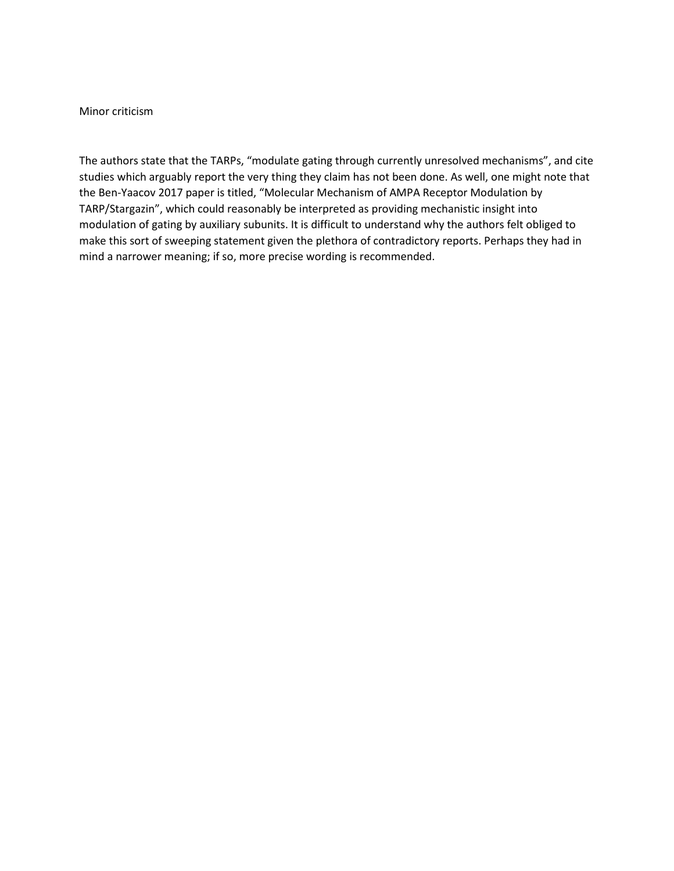#### Minor criticism

The authors state that the TARPs, "modulate gating through currently unresolved mechanisms", and cite studies which arguably report the very thing they claim has not been done. As well, one might note that the Ben-Yaacov 2017 paper is titled, "Molecular Mechanism of AMPA Receptor Modulation by TARP/Stargazin", which could reasonably be interpreted as providing mechanistic insight into modulation of gating by auxiliary subunits. It is difficult to understand why the authors felt obliged to make this sort of sweeping statement given the plethora of contradictory reports. Perhaps they had in mind a narrower meaning; if so, more precise wording is recommended.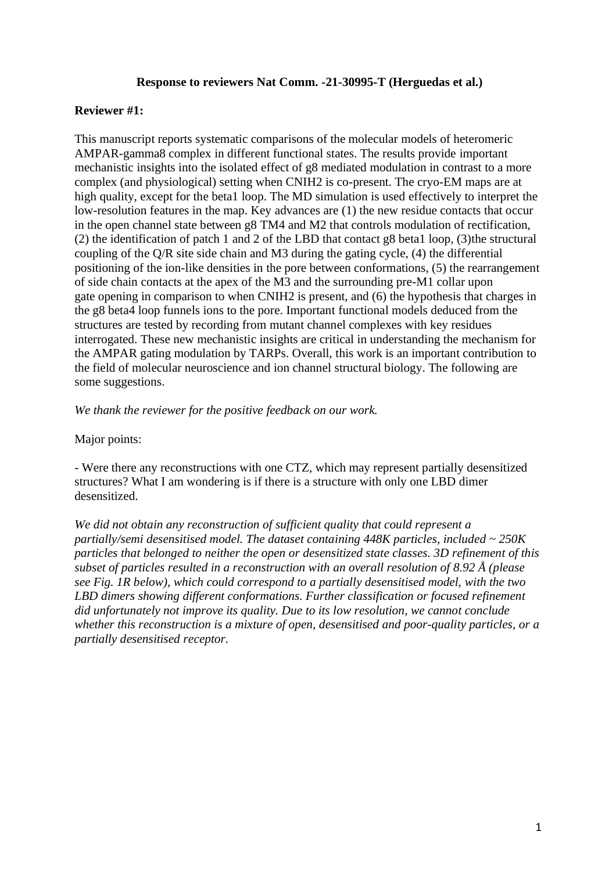#### **Response to reviewers Nat Comm. -21-30995-T (Herguedas et al.)**

### **Reviewer #1:**

This manuscript reports systematic comparisons of the molecular models of heteromeric AMPAR-gamma8 complex in different functional states. The results provide important mechanistic insights into the isolated effect of g8 mediated modulation in contrast to a more complex (and physiological) setting when CNIH2 is co-present. The cryo-EM maps are at high quality, except for the beta1 loop. The MD simulation is used effectively to interpret the low-resolution features in the map. Key advances are (1) the new residue contacts that occur in the open channel state between g8 TM4 and M2 that controls modulation of rectification, (2) the identification of patch 1 and 2 of the LBD that contact g8 beta1 loop, (3)the structural coupling of the Q/R site side chain and M3 during the gating cycle, (4) the differential positioning of the ion-like densities in the pore between conformations, (5) the rearrangement of side chain contacts at the apex of the M3 and the surrounding pre-M1 collar upon gate opening in comparison to when CNIH2 is present, and (6) the hypothesis that charges in the g8 beta4 loop funnels ions to the pore. Important functional models deduced from the structures are tested by recording from mutant channel complexes with key residues interrogated. These new mechanistic insights are critical in understanding the mechanism for the AMPAR gating modulation by TARPs. Overall, this work is an important contribution to the field of molecular neuroscience and ion channel structural biology. The following are some suggestions.

*We thank the reviewer for the positive feedback on our work.*

Major points:

- Were there any reconstructions with one CTZ, which may represent partially desensitized structures? What I am wondering is if there is a structure with only one LBD dimer desensitized.

*We did not obtain any reconstruction of sufficient quality that could represent a partially/semi desensitised model. The dataset containing 448K particles, included ~ 250K particles that belonged to neither the open or desensitized state classes. 3D refinement of this subset of particles resulted in a reconstruction with an overall resolution of 8.92 Å (please see Fig. 1R below), which could correspond to a partially desensitised model, with the two LBD dimers showing different conformations. Further classification or focused refinement did unfortunately not improve its quality. Due to its low resolution, we cannot conclude whether this reconstruction is a mixture of open, desensitised and poor-quality particles, or a partially desensitised receptor.*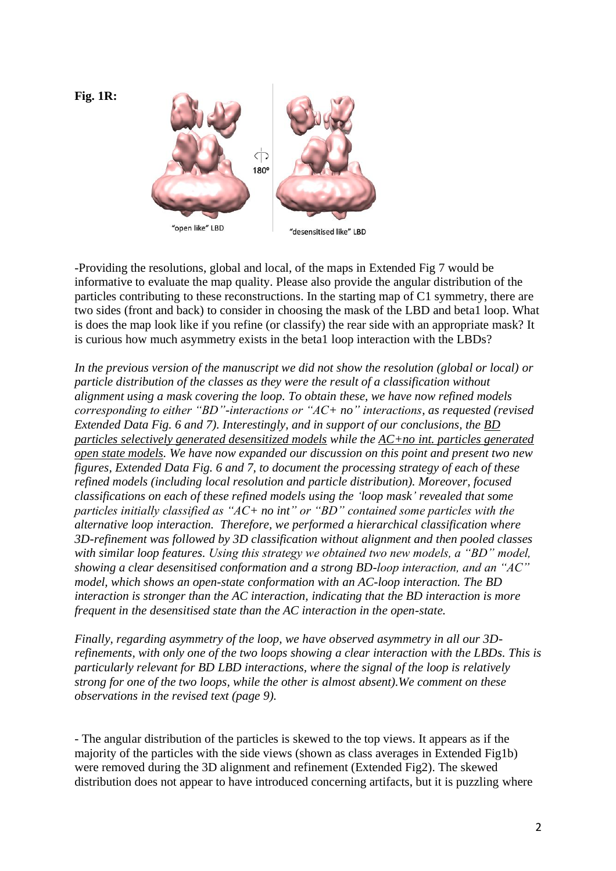**Fig. 1R:**



"open like" LBD

"desensitised like" LBD

-Providing the resolutions, global and local, of the maps in Extended Fig 7 would be informative to evaluate the map quality. Please also provide the angular distribution of the particles contributing to these reconstructions. In the starting map of C1 symmetry, there are two sides (front and back) to consider in choosing the mask of the LBD and beta1 loop. What is does the map look like if you refine (or classify) the rear side with an appropriate mask? It is curious how much asymmetry exists in the beta1 loop interaction with the LBDs?

*In the previous version of the manuscript we did not show the resolution (global or local) or particle distribution of the classes as they were the result of a classification without alignment using a mask covering the loop. To obtain these, we have now refined models corresponding to either "BD"-interactions or "AC+ no" interactions, as requested (revised Extended Data Fig. 6 and 7). Interestingly, and in support of our conclusions, the BD particles selectively generated desensitized models while the AC+no int. particles generated open state models. We have now expanded our discussion on this point and present two new figures, Extended Data Fig. 6 and 7, to document the processing strategy of each of these refined models (including local resolution and particle distribution). Moreover, focused classifications on each of these refined models using the 'loop mask' revealed that some particles initially classified as "AC+ no int" or "BD" contained some particles with the alternative loop interaction. Therefore, we performed a hierarchical classification where 3D-refinement was followed by 3D classification without alignment and then pooled classes with similar loop features. Using this strategy we obtained two new models, a "BD" model, showing a clear desensitised conformation and a strong BD-loop interaction, and an "AC" model, which shows an open-state conformation with an AC-loop interaction. The BD interaction is stronger than the AC interaction, indicating that the BD interaction is more frequent in the desensitised state than the AC interaction in the open-state.* 

*Finally, regarding asymmetry of the loop, we have observed asymmetry in all our 3Drefinements, with only one of the two loops showing a clear interaction with the LBDs. This is particularly relevant for BD LBD interactions, where the signal of the loop is relatively strong for one of the two loops, while the other is almost absent).We comment on these observations in the revised text (page 9).*

- The angular distribution of the particles is skewed to the top views. It appears as if the majority of the particles with the side views (shown as class averages in Extended Fig1b) were removed during the 3D alignment and refinement (Extended Fig2). The skewed distribution does not appear to have introduced concerning artifacts, but it is puzzling where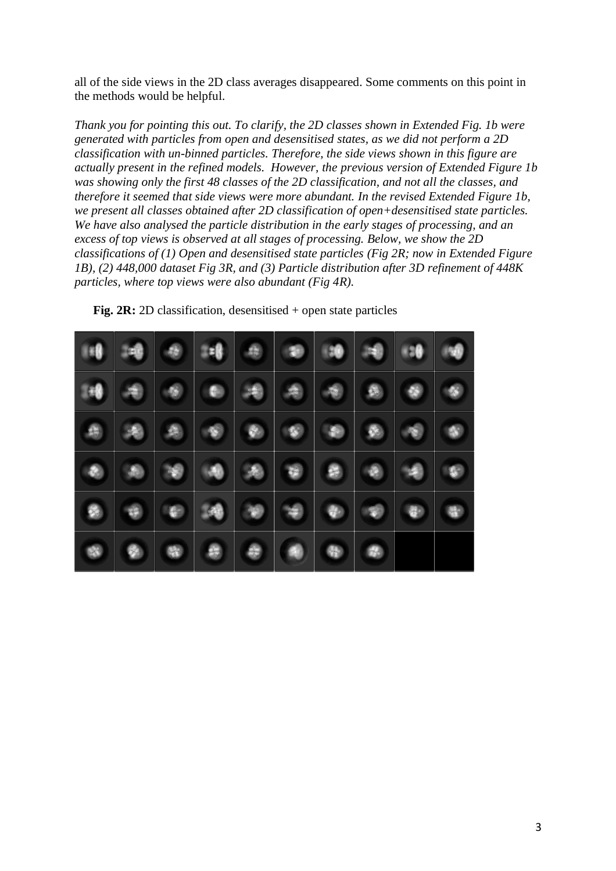all of the side views in the 2D class averages disappeared. Some comments on this point in the methods would be helpful.

*Thank you for pointing this out. To clarify, the 2D classes shown in Extended Fig. 1b were generated with particles from open and desensitised states, as we did not perform a 2D classification with un-binned particles. Therefore, the side views shown in this figure are actually present in the refined models. However, the previous version of Extended Figure 1b was showing only the first 48 classes of the 2D classification, and not all the classes, and therefore it seemed that side views were more abundant. In the revised Extended Figure 1b, we present all classes obtained after 2D classification of open+desensitised state particles. We have also analysed the particle distribution in the early stages of processing, and an excess of top views is observed at all stages of processing. Below, we show the 2D classifications of (1) Open and desensitised state particles (Fig 2R; now in Extended Figure 1B), (2) 448,000 dataset Fig 3R, and (3) Particle distribution after 3D refinement of 448K particles, where top views were also abundant (Fig 4R).* 

| 18 中      |           |           |   |           | 18 8 8 9 9 9 9 9 9  |                     |           |           |           |
|-----------|-----------|-----------|---|-----------|---------------------|---------------------|-----------|-----------|-----------|
| 148       | $\bullet$ |           | O |           |                     |                     |           | $\bullet$ |           |
| 像         |           |           |   | $\bullet$ | $\bullet$ $\bullet$ |                     | $\bullet$ | $\bullet$ |           |
| $\bullet$ | $\bullet$ |           |   |           |                     |                     |           |           | O         |
|           | 编         | $\bullet$ |   |           | $\bullet$           |                     | $\bullet$ |           | $\bullet$ |
| 唿         | $\bullet$ | 图         |   |           | a)                  | $\ddot{\textbf{q}}$ | O         |           |           |

**Fig. 2R:** 2D classification, desensitised + open state particles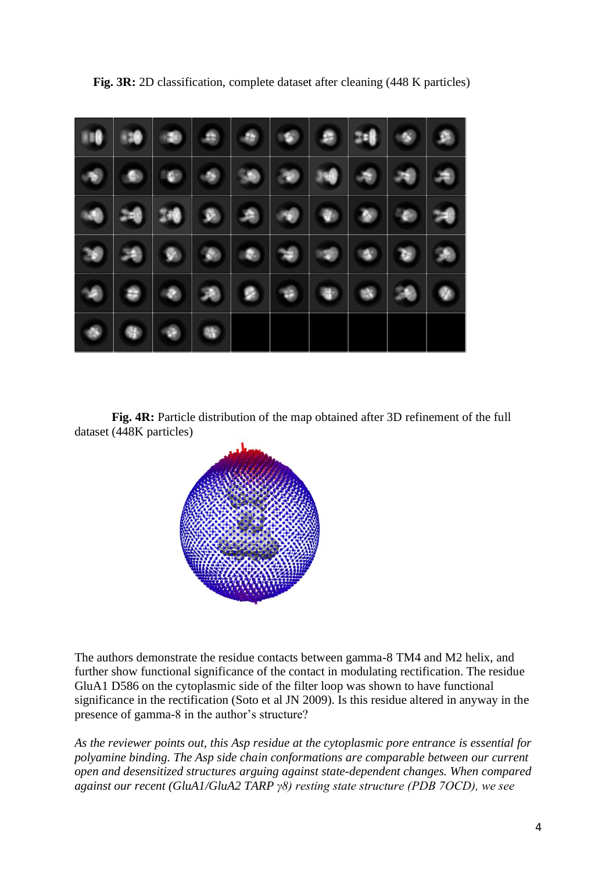|            |           | 10     10     00     01   |   |  |  |           |
|------------|-----------|---------------------------|---|--|--|-----------|
| $\bullet$  |           | $\bullet \bullet \bullet$ |   |  |  |           |
|            |           |                           |   |  |  |           |
|            |           |                           |   |  |  |           |
| $^{\circ}$ | $\bullet$ |                           |   |  |  | $\bullet$ |
| $\bullet$  | $\oplus$  | $\bullet$                 | 零 |  |  |           |

**Fig. 3R:** 2D classification, complete dataset after cleaning (448 K particles)

**Fig. 4R:** Particle distribution of the map obtained after 3D refinement of the full dataset (448K particles)



The authors demonstrate the residue contacts between gamma-8 TM4 and M2 helix, and further show functional significance of the contact in modulating rectification. The residue GluA1 D586 on the cytoplasmic side of the filter loop was shown to have functional significance in the rectification (Soto et al JN 2009). Is this residue altered in anyway in the presence of gamma-8 in the author's structure?

*As the reviewer points out, this Asp residue at the cytoplasmic pore entrance is essential for polyamine binding. The Asp side chain conformations are comparable between our current open and desensitized structures arguing against state-dependent changes. When compared against our recent (GluA1/GluA2 TARP γ8) resting state structure (PDB 7OCD), we see*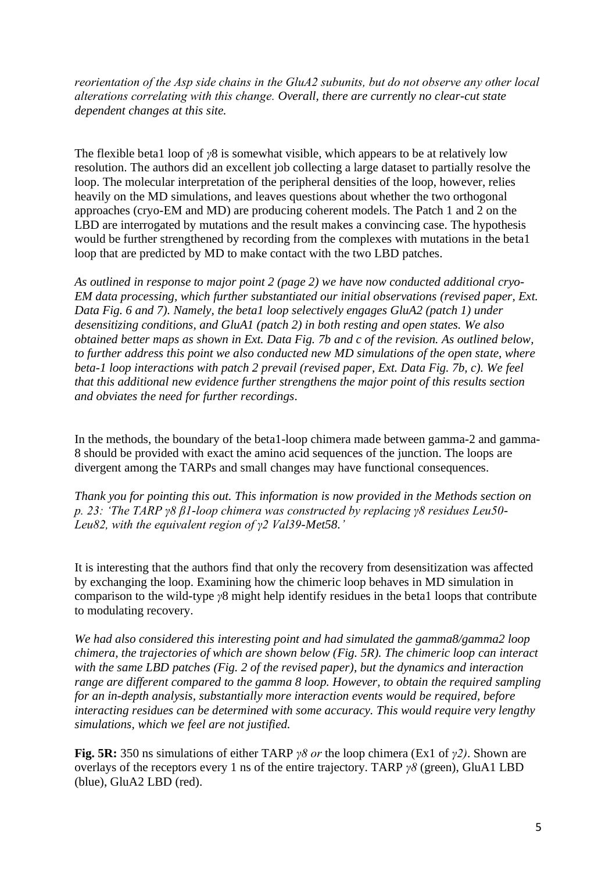*reorientation of the Asp side chains in the GluA2 subunits, but do not observe any other local alterations correlating with this change. Overall, there are currently no clear-cut state dependent changes at this site.*

The flexible beta1 loop of *γ*8 is somewhat visible, which appears to be at relatively low resolution. The authors did an excellent job collecting a large dataset to partially resolve the loop. The molecular interpretation of the peripheral densities of the loop, however, relies heavily on the MD simulations, and leaves questions about whether the two orthogonal approaches (cryo-EM and MD) are producing coherent models. The Patch 1 and 2 on the LBD are interrogated by mutations and the result makes a convincing case. The hypothesis would be further strengthened by recording from the complexes with mutations in the beta1 loop that are predicted by MD to make contact with the two LBD patches.

*As outlined in response to major point 2 (page 2) we have now conducted additional cryo-EM data processing, which further substantiated our initial observations (revised paper, Ext. Data Fig. 6 and 7). Namely, the beta1 loop selectively engages GluA2 (patch 1) under desensitizing conditions, and GluA1 (patch 2) in both resting and open states. We also obtained better maps as shown in Ext. Data Fig. 7b and c of the revision. As outlined below, to further address this point we also conducted new MD simulations of the open state, where beta-1 loop interactions with patch 2 prevail (revised paper, Ext. Data Fig. 7b, c). We feel that this additional new evidence further strengthens the major point of this results section and obviates the need for further recordings.*

In the methods, the boundary of the beta1-loop chimera made between gamma-2 and gamma-8 should be provided with exact the amino acid sequences of the junction. The loops are divergent among the TARPs and small changes may have functional consequences.

*Thank you for pointing this out. This information is now provided in the Methods section on p. 23: 'The TARP γ8 β1-loop chimera was constructed by replacing γ8 residues Leu50- Leu82, with the equivalent region of γ2 Val39-Met58.'*

It is interesting that the authors find that only the recovery from desensitization was affected by exchanging the loop. Examining how the chimeric loop behaves in MD simulation in comparison to the wild-type *γ*8 might help identify residues in the beta1 loops that contribute to modulating recovery.

*We had also considered this interesting point and had simulated the gamma8/gamma2 loop chimera, the trajectories of which are shown below (Fig. 5R). The chimeric loop can interact with the same LBD patches (Fig. 2 of the revised paper), but the dynamics and interaction range are different compared to the gamma 8 loop. However, to obtain the required sampling for an in-depth analysis, substantially more interaction events would be required, before interacting residues can be determined with some accuracy. This would require very lengthy simulations, which we feel are not justified.* 

**Fig. 5R:** 350 ns simulations of either TARP *γ8 or* the loop chimera (Ex1 of *γ2)*. Shown are overlays of the receptors every 1 ns of the entire trajectory. TARP *γ8* (green), GluA1 LBD (blue), GluA2 LBD (red).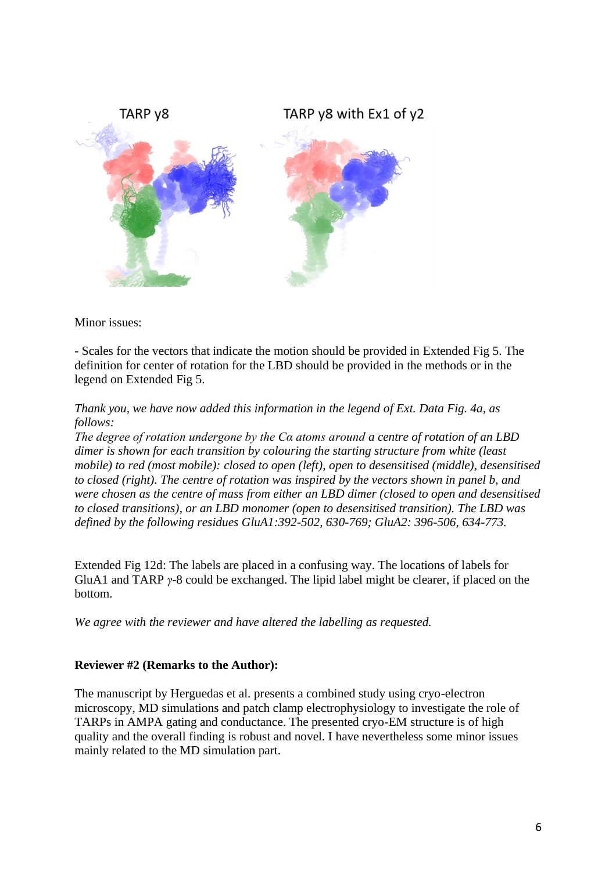

Minor issues:

- Scales for the vectors that indicate the motion should be provided in Extended Fig 5. The definition for center of rotation for the LBD should be provided in the methods or in the legend on Extended Fig 5.

*Thank you, we have now added this information in the legend of Ext. Data Fig. 4a, as follows:* 

*The degree of rotation undergone by the Cα atoms around a centre of rotation of an LBD dimer is shown for each transition by colouring the starting structure from white (least mobile) to red (most mobile): closed to open (left), open to desensitised (middle), desensitised to closed (right). The centre of rotation was inspired by the vectors shown in panel b, and were chosen as the centre of mass from either an LBD dimer (closed to open and desensitised to closed transitions), or an LBD monomer (open to desensitised transition). The LBD was defined by the following residues GluA1:392-502, 630-769; GluA2: 396-506, 634-773.*

Extended Fig 12d: The labels are placed in a confusing way. The locations of labels for GluA1 and TARP *γ*-8 could be exchanged. The lipid label might be clearer, if placed on the bottom.

*We agree with the reviewer and have altered the labelling as requested.*

#### **Reviewer #2 (Remarks to the Author):**

The manuscript by Herguedas et al. presents a combined study using cryo-electron microscopy, MD simulations and patch clamp electrophysiology to investigate the role of TARPs in AMPA gating and conductance. The presented cryo-EM structure is of high quality and the overall finding is robust and novel. I have nevertheless some minor issues mainly related to the MD simulation part.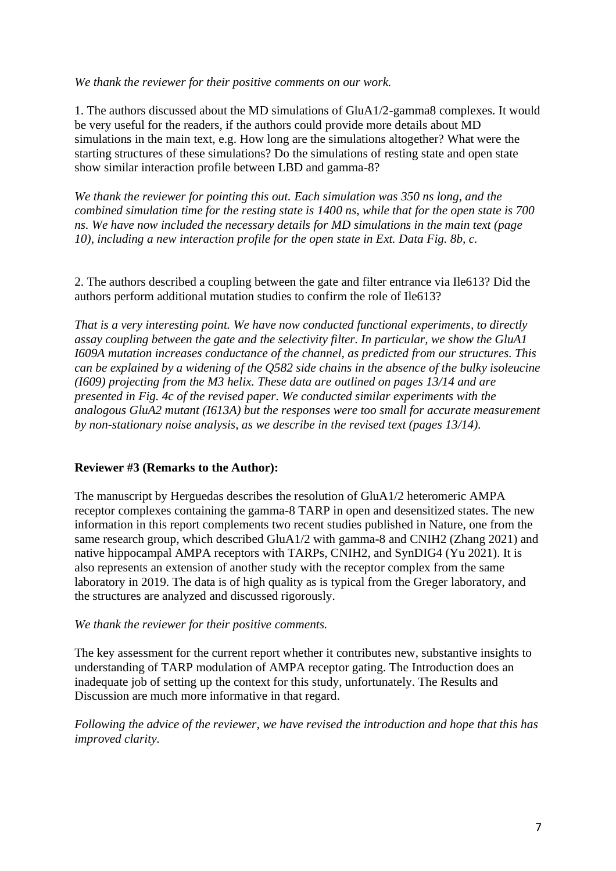#### *We thank the reviewer for their positive comments on our work.*

1. The authors discussed about the MD simulations of GluA1/2-gamma8 complexes. It would be very useful for the readers, if the authors could provide more details about MD simulations in the main text, e.g. How long are the simulations altogether? What were the starting structures of these simulations? Do the simulations of resting state and open state show similar interaction profile between LBD and gamma-8?

*We thank the reviewer for pointing this out. Each simulation was 350 ns long, and the combined simulation time for the resting state is 1400 ns, while that for the open state is 700 ns. We have now included the necessary details for MD simulations in the main text (page 10), including a new interaction profile for the open state in Ext. Data Fig. 8b, c.*

2. The authors described a coupling between the gate and filter entrance via Ile613? Did the authors perform additional mutation studies to confirm the role of Ile613?

*That is a very interesting point. We have now conducted functional experiments, to directly assay coupling between the gate and the selectivity filter. In particular, we show the GluA1 I609A mutation increases conductance of the channel, as predicted from our structures. This can be explained by a widening of the Q582 side chains in the absence of the bulky isoleucine (I609) projecting from the M3 helix. These data are outlined on pages 13/14 and are presented in Fig. 4c of the revised paper. We conducted similar experiments with the analogous GluA2 mutant (I613A) but the responses were too small for accurate measurement by non-stationary noise analysis, as we describe in the revised text (pages 13/14).*

#### **Reviewer #3 (Remarks to the Author):**

The manuscript by Herguedas describes the resolution of GluA1/2 heteromeric AMPA receptor complexes containing the gamma-8 TARP in open and desensitized states. The new information in this report complements two recent studies published in Nature, one from the same research group, which described GluA1/2 with gamma-8 and CNIH2 (Zhang 2021) and native hippocampal AMPA receptors with TARPs, CNIH2, and SynDIG4 (Yu 2021). It is also represents an extension of another study with the receptor complex from the same laboratory in 2019. The data is of high quality as is typical from the Greger laboratory, and the structures are analyzed and discussed rigorously.

#### *We thank the reviewer for their positive comments.*

The key assessment for the current report whether it contributes new, substantive insights to understanding of TARP modulation of AMPA receptor gating. The Introduction does an inadequate job of setting up the context for this study, unfortunately. The Results and Discussion are much more informative in that regard.

*Following the advice of the reviewer, we have revised the introduction and hope that this has improved clarity.*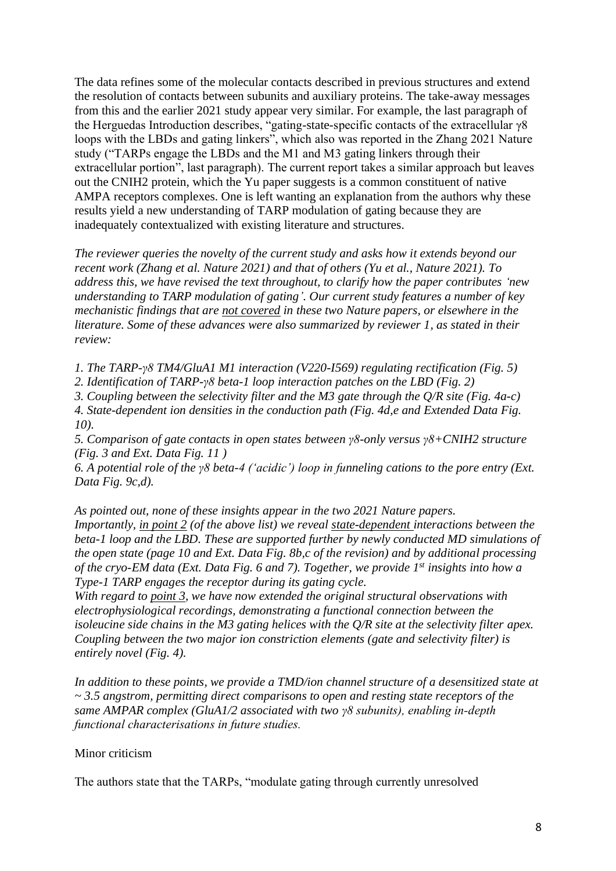The data refines some of the molecular contacts described in previous structures and extend the resolution of contacts between subunits and auxiliary proteins. The take-away messages from this and the earlier 2021 study appear very similar. For example, the last paragraph of the Herguedas Introduction describes, "gating-state-specific contacts of the extracellular γ8 loops with the LBDs and gating linkers", which also was reported in the Zhang 2021 Nature study ("TARPs engage the LBDs and the M1 and M3 gating linkers through their extracellular portion", last paragraph). The current report takes a similar approach but leaves out the CNIH2 protein, which the Yu paper suggests is a common constituent of native AMPA receptors complexes. One is left wanting an explanation from the authors why these results yield a new understanding of TARP modulation of gating because they are inadequately contextualized with existing literature and structures.

*The reviewer queries the novelty of the current study and asks how it extends beyond our recent work (Zhang et al. Nature 2021) and that of others (Yu et al., Nature 2021). To address this, we have revised the text throughout, to clarify how the paper contributes 'new understanding to TARP modulation of gating'. Our current study features a number of key mechanistic findings that are not covered in these two Nature papers, or elsewhere in the literature. Some of these advances were also summarized by reviewer 1, as stated in their review:*

*1. The TARP-γ8 TM4/GluA1 M1 interaction (V220-I569) regulating rectification (Fig. 5)*

*2. Identification of TARP-γ8 beta-1 loop interaction patches on the LBD (Fig. 2)*

*3. Coupling between the selectivity filter and the M3 gate through the Q/R site (Fig. 4a-c)*

*4. State-dependent ion densities in the conduction path (Fig. 4d,e and Extended Data Fig. 10).*

*5. Comparison of gate contacts in open states between γ8-only versus γ8+CNIH2 structure (Fig. 3 and Ext. Data Fig. 11 )*

*6. A potential role of the γ8 beta-4 ('acidic') loop in funneling cations to the pore entry (Ext. Data Fig. 9c,d).*

*As pointed out, none of these insights appear in the two 2021 Nature papers.*

*Importantly, in point 2 (of the above list) we reveal state-dependent interactions between the beta-1 loop and the LBD. These are supported further by newly conducted MD simulations of the open state (page 10 and Ext. Data Fig. 8b,c of the revision) and by additional processing of the cryo-EM data (Ext. Data Fig. 6 and 7). Together, we provide 1 st insights into how a Type-1 TARP engages the receptor during its gating cycle.* 

*With regard to point 3, we have now extended the original structural observations with electrophysiological recordings, demonstrating a functional connection between the isoleucine side chains in the M3 gating helices with the Q/R site at the selectivity filter apex. Coupling between the two major ion constriction elements (gate and selectivity filter) is entirely novel (Fig. 4).*

*In addition to these points, we provide a TMD/ion channel structure of a desensitized state at ~ 3.5 angstrom, permitting direct comparisons to open and resting state receptors of the same AMPAR complex (GluA1/2 associated with two γ8 subunits), enabling in-depth functional characterisations in future studies.* 

#### Minor criticism

The authors state that the TARPs, "modulate gating through currently unresolved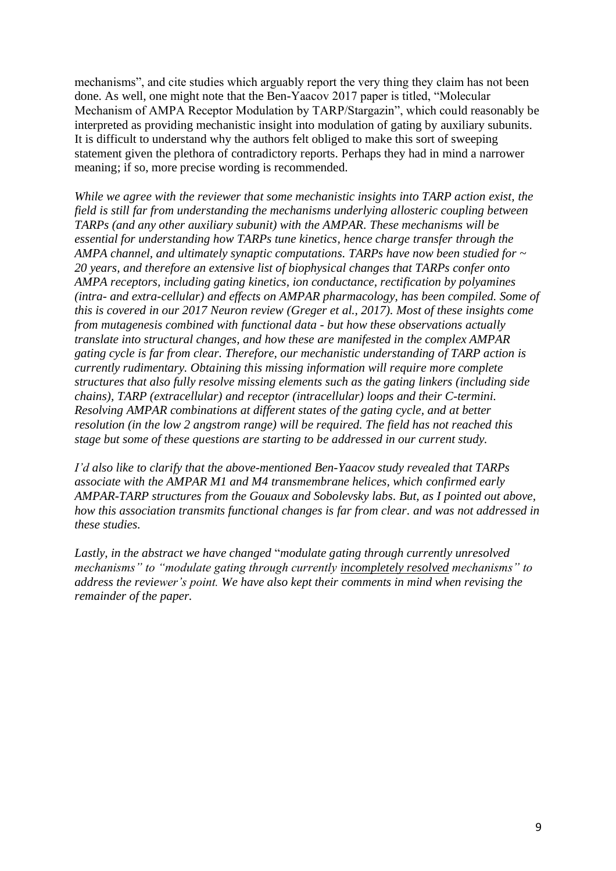mechanisms", and cite studies which arguably report the very thing they claim has not been done. As well, one might note that the Ben-Yaacov 2017 paper is titled, "Molecular Mechanism of AMPA Receptor Modulation by TARP/Stargazin", which could reasonably be interpreted as providing mechanistic insight into modulation of gating by auxiliary subunits. It is difficult to understand why the authors felt obliged to make this sort of sweeping statement given the plethora of contradictory reports. Perhaps they had in mind a narrower meaning; if so, more precise wording is recommended.

*While we agree with the reviewer that some mechanistic insights into TARP action exist, the field is still far from understanding the mechanisms underlying allosteric coupling between TARPs (and any other auxiliary subunit) with the AMPAR. These mechanisms will be essential for understanding how TARPs tune kinetics, hence charge transfer through the AMPA channel, and ultimately synaptic computations. TARPs have now been studied for ~ 20 years, and therefore an extensive list of biophysical changes that TARPs confer onto AMPA receptors, including gating kinetics, ion conductance, rectification by polyamines (intra- and extra-cellular) and effects on AMPAR pharmacology, has been compiled. Some of this is covered in our 2017 Neuron review (Greger et al., 2017). Most of these insights come from mutagenesis combined with functional data - but how these observations actually translate into structural changes, and how these are manifested in the complex AMPAR gating cycle is far from clear. Therefore, our mechanistic understanding of TARP action is currently rudimentary. Obtaining this missing information will require more complete structures that also fully resolve missing elements such as the gating linkers (including side chains), TARP (extracellular) and receptor (intracellular) loops and their C-termini. Resolving AMPAR combinations at different states of the gating cycle, and at better resolution (in the low 2 angstrom range) will be required. The field has not reached this stage but some of these questions are starting to be addressed in our current study.*

*I'd also like to clarify that the above-mentioned Ben-Yaacov study revealed that TARPs associate with the AMPAR M1 and M4 transmembrane helices, which confirmed early AMPAR-TARP structures from the Gouaux and Sobolevsky labs. But, as I pointed out above, how this association transmits functional changes is far from clear. and was not addressed in these studies.*

*Lastly, in the abstract we have changed* "*modulate gating through currently unresolved mechanisms" to "modulate gating through currently incompletely resolved mechanisms" to address the reviewer's point. We have also kept their comments in mind when revising the remainder of the paper.*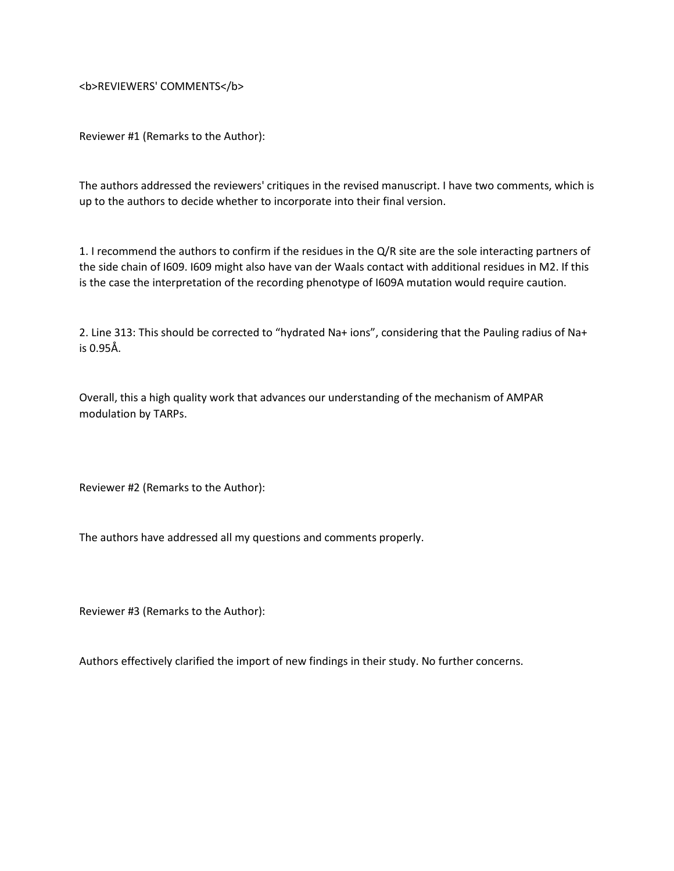<b>REVIEWERS' COMMENTS</b>

Reviewer #1 (Remarks to the Author):

The authors addressed the reviewers' critiques in the revised manuscript. I have two comments, which is up to the authors to decide whether to incorporate into their final version.

1. I recommend the authors to confirm if the residues in the Q/R site are the sole interacting partners of the side chain of I609. I609 might also have van der Waals contact with additional residues in M2. If this is the case the interpretation of the recording phenotype of I609A mutation would require caution.

2. Line 313: This should be corrected to "hydrated Na+ ions", considering that the Pauling radius of Na+ is 0.95Å.

Overall, this a high quality work that advances our understanding of the mechanism of AMPAR modulation by TARPs.

Reviewer #2 (Remarks to the Author):

The authors have addressed all my questions and comments properly.

Reviewer #3 (Remarks to the Author):

Authors effectively clarified the import of new findings in their study. No further concerns.